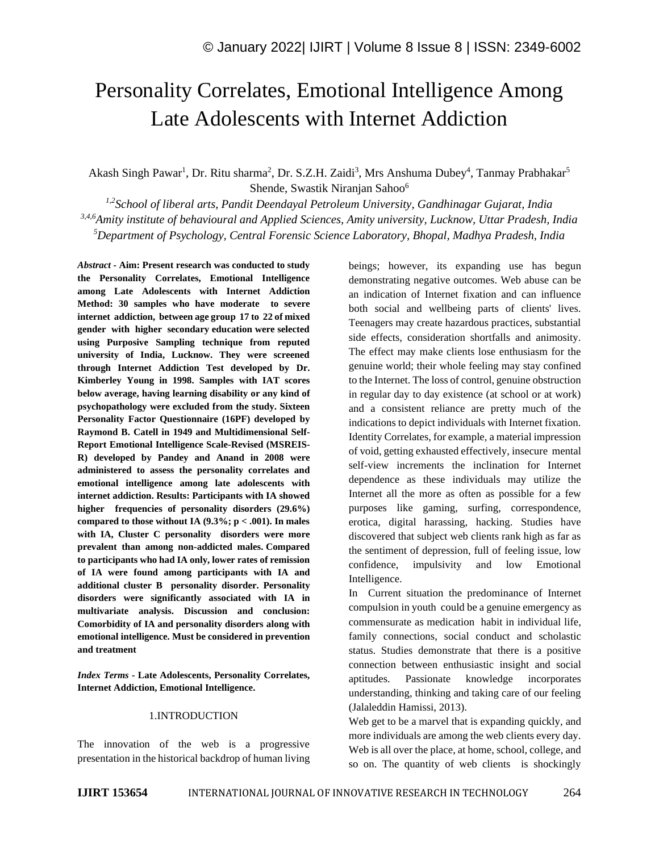# Personality Correlates, Emotional Intelligence Among Late Adolescents with Internet Addiction

Akash Singh Pawar<sup>1</sup>, Dr. Ritu sharma<sup>2</sup>, Dr. S.Z.H. Zaidi<sup>3</sup>, Mrs Anshuma Dubey<sup>4</sup>, Tanmay Prabhakar<sup>5</sup> Shende, Swastik Niranjan Sahoo<sup>6</sup>

*1,2School of liberal arts, Pandit Deendayal Petroleum University, Gandhinagar Gujarat, India 3,4,6Amity institute of behavioural and Applied Sciences, Amity university, Lucknow, Uttar Pradesh, India <sup>5</sup>Department of Psychology, Central Forensic Science Laboratory, Bhopal, Madhya Pradesh, India*

*Abstract -* **Aim: Present research was conducted to study the Personality Correlates, Emotional Intelligence among Late Adolescents with Internet Addiction Method: 30 samples who have moderate to severe internet addiction, between age group 17 to 22 of mixed gender with higher secondary education were selected using Purposive Sampling technique from reputed university of India, Lucknow. They were screened through Internet Addiction Test developed by Dr. Kimberley Young in 1998. Samples with IAT scores below average, having learning disability or any kind of psychopathology were excluded from the study. Sixteen Personality Factor Questionnaire (16PF) developed by Raymond B. Catell in 1949 and Multidimensional Self-Report Emotional Intelligence Scale-Revised (MSREIS-R) developed by Pandey and Anand in 2008 were administered to assess the personality correlates and emotional intelligence among late adolescents with internet addiction. Results: Participants with IA showed higher frequencies of personality disorders (29.6%) compared to those without IA (9.3%; p < .001). In males with IA, Cluster C personality disorders were more prevalent than among non-addicted males. Compared to participants who had IA only, lower rates of remission of IA were found among participants with IA and additional cluster B personality disorder. Personality disorders were significantly associated with IA in multivariate analysis. Discussion and conclusion: Comorbidity of IA and personality disorders along with emotional intelligence. Must be considered in prevention and treatment**

*Index Terms -* **Late Adolescents, Personality Correlates, Internet Addiction, Emotional Intelligence.**

## 1.INTRODUCTION

The innovation of the web is a progressive presentation in the historical backdrop of human living beings; however, its expanding use has begun demonstrating negative outcomes. Web abuse can be an indication of Internet fixation and can influence both social and wellbeing parts of clients' lives. Teenagers may create hazardous practices, substantial side effects, consideration shortfalls and animosity. The effect may make clients lose enthusiasm for the genuine world; their whole feeling may stay confined to the Internet. The loss of control, genuine obstruction in regular day to day existence (at school or at work) and a consistent reliance are pretty much of the indications to depict individuals with Internet fixation. Identity Correlates, for example, a material impression of void, getting exhausted effectively, insecure mental self-view increments the inclination for Internet dependence as these individuals may utilize the Internet all the more as often as possible for a few purposes like gaming, surfing, correspondence, erotica, digital harassing, hacking. Studies have discovered that subject web clients rank high as far as the sentiment of depression, full of feeling issue, low confidence, impulsivity and low Emotional Intelligence.

In Current situation the predominance of Internet compulsion in youth could be a genuine emergency as commensurate as medication habit in individual life, family connections, social conduct and scholastic status. Studies demonstrate that there is a positive connection between enthusiastic insight and social aptitudes. Passionate knowledge incorporates understanding, thinking and taking care of our feeling (Jalaleddin Hamissi, 2013).

Web get to be a marvel that is expanding quickly, and more individuals are among the web clients every day. Web is all over the place, at home, school, college, and so on. The quantity of web clients is shockingly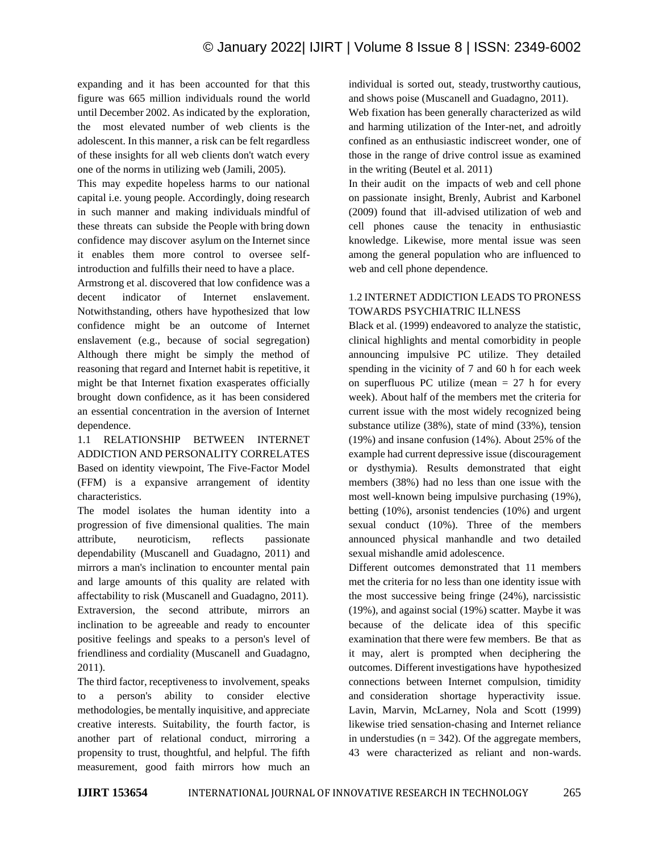expanding and it has been accounted for that this figure was 665 million individuals round the world until December 2002. As indicated by the exploration, the most elevated number of web clients is the adolescent. In this manner, a risk can be felt regardless of these insights for all web clients don't watch every one of the norms in utilizing web (Jamili, 2005).

This may expedite hopeless harms to our national capital i.e. young people. Accordingly, doing research in such manner and making individuals mindful of these threats can subside the People with bring down confidence may discover asylum on the Internet since it enables them more control to oversee selfintroduction and fulfills their need to have a place.

Armstrong et al. discovered that low confidence was a decent indicator of Internet enslavement. Notwithstanding, others have hypothesized that low confidence might be an outcome of Internet enslavement (e.g., because of social segregation) Although there might be simply the method of reasoning that regard and Internet habit is repetitive, it might be that Internet fixation exasperates officially brought down confidence, as it has been considered an essential concentration in the aversion of Internet dependence.

1.1 RELATIONSHIP BETWEEN INTERNET ADDICTION AND PERSONALITY CORRELATES Based on identity viewpoint, The Five-Factor Model (FFM) is a expansive arrangement of identity characteristics.

The model isolates the human identity into a progression of five dimensional qualities. The main attribute, neuroticism, reflects passionate dependability (Muscanell and Guadagno, 2011) and mirrors a man's inclination to encounter mental pain and large amounts of this quality are related with affectability to risk (Muscanell and Guadagno, 2011). Extraversion, the second attribute, mirrors an inclination to be agreeable and ready to encounter positive feelings and speaks to a person's level of friendliness and cordiality (Muscanell and Guadagno, 2011).

The third factor, receptiveness to involvement, speaks to a person's ability to consider elective methodologies, be mentally inquisitive, and appreciate creative interests. Suitability, the fourth factor, is another part of relational conduct, mirroring a propensity to trust, thoughtful, and helpful. The fifth measurement, good faith mirrors how much an individual is sorted out, steady, trustworthy cautious, and shows poise (Muscanell and Guadagno, 2011).

Web fixation has been generally characterized as wild and harming utilization of the Inter-net, and adroitly confined as an enthusiastic indiscreet wonder, one of those in the range of drive control issue as examined in the writing (Beutel et al. 2011)

In their audit on the impacts of web and cell phone on passionate insight, Brenly, Aubrist and Karbonel (2009) found that ill-advised utilization of web and cell phones cause the tenacity in enthusiastic knowledge. Likewise, more mental issue was seen among the general population who are influenced to web and cell phone dependence.

# 1.2 INTERNET ADDICTION LEADS TO PRONESS TOWARDS PSYCHIATRIC ILLNESS

Black et al. (1999) endeavored to analyze the statistic, clinical highlights and mental comorbidity in people announcing impulsive PC utilize. They detailed spending in the vicinity of 7 and 60 h for each week on superfluous PC utilize (mean  $= 27$  h for every week). About half of the members met the criteria for current issue with the most widely recognized being substance utilize (38%), state of mind (33%), tension (19%) and insane confusion (14%). About 25% of the example had current depressive issue (discouragement or dysthymia). Results demonstrated that eight members (38%) had no less than one issue with the most well-known being impulsive purchasing (19%), betting (10%), arsonist tendencies (10%) and urgent sexual conduct (10%). Three of the members announced physical manhandle and two detailed sexual mishandle amid adolescence.

Different outcomes demonstrated that 11 members met the criteria for no less than one identity issue with the most successive being fringe (24%), narcissistic (19%), and against social (19%) scatter. Maybe it was because of the delicate idea of this specific examination that there were few members. Be that as it may, alert is prompted when deciphering the outcomes. Different investigations have hypothesized connections between Internet compulsion, timidity and consideration shortage hyperactivity issue. Lavin, Marvin, McLarney, Nola and Scott (1999) likewise tried sensation-chasing and Internet reliance in understudies ( $n = 342$ ). Of the aggregate members, 43 were characterized as reliant and non-wards.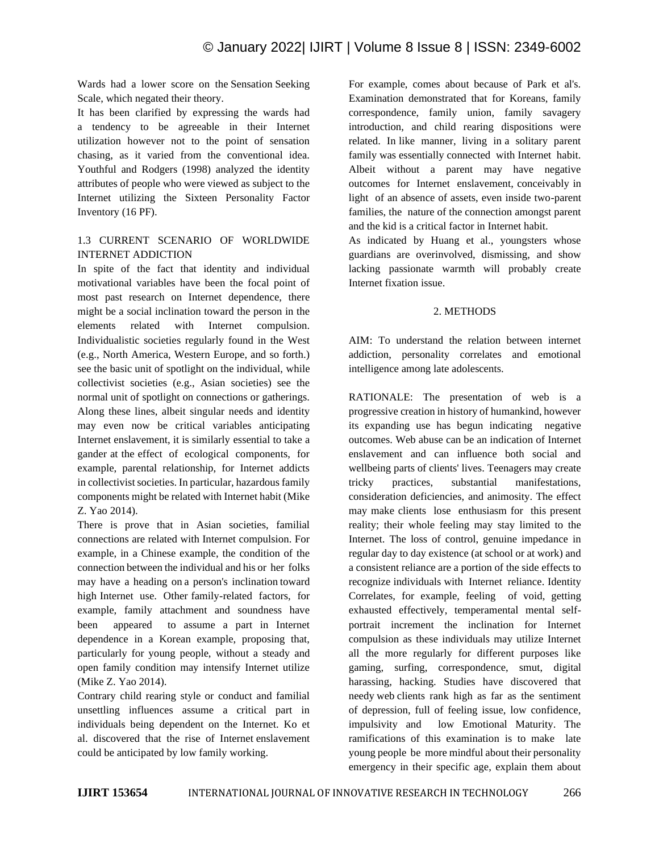Wards had a lower score on the Sensation Seeking Scale, which negated their theory.

It has been clarified by expressing the wards had a tendency to be agreeable in their Internet utilization however not to the point of sensation chasing, as it varied from the conventional idea. Youthful and Rodgers (1998) analyzed the identity attributes of people who were viewed as subject to the Internet utilizing the Sixteen Personality Factor Inventory (16 PF).

## 1.3 CURRENT SCENARIO OF WORLDWIDE INTERNET ADDICTION

In spite of the fact that identity and individual motivational variables have been the focal point of most past research on Internet dependence, there might be a social inclination toward the person in the elements related with Internet compulsion. Individualistic societies regularly found in the West (e.g., North America, Western Europe, and so forth.) see the basic unit of spotlight on the individual, while collectivist societies (e.g., Asian societies) see the normal unit of spotlight on connections or gatherings. Along these lines, albeit singular needs and identity may even now be critical variables anticipating Internet enslavement, it is similarly essential to take a gander at the effect of ecological components, for example, parental relationship, for Internet addicts in collectivist societies. In particular, hazardous family components might be related with Internet habit (Mike Z. Yao 2014).

There is prove that in Asian societies, familial connections are related with Internet compulsion. For example, in a Chinese example, the condition of the connection between the individual and his or her folks may have a heading on a person's inclination toward high Internet use. Other family-related factors, for example, family attachment and soundness have been appeared to assume a part in Internet dependence in a Korean example, proposing that, particularly for young people, without a steady and open family condition may intensify Internet utilize (Mike Z. Yao 2014).

Contrary child rearing style or conduct and familial unsettling influences assume a critical part in individuals being dependent on the Internet. Ko et al. discovered that the rise of Internet enslavement could be anticipated by low family working.

For example, comes about because of Park et al's. Examination demonstrated that for Koreans, family correspondence, family union, family savagery introduction, and child rearing dispositions were related. In like manner, living in a solitary parent family was essentially connected with Internet habit. Albeit without a parent may have negative outcomes for Internet enslavement, conceivably in light of an absence of assets, even inside two-parent families, the nature of the connection amongst parent and the kid is a critical factor in Internet habit.

As indicated by Huang et al., youngsters whose guardians are overinvolved, dismissing, and show lacking passionate warmth will probably create Internet fixation issue.

#### 2. METHODS

AIM: To understand the relation between internet addiction, personality correlates and emotional intelligence among late adolescents.

RATIONALE: The presentation of web is a progressive creation in history of humankind, however its expanding use has begun indicating negative outcomes. Web abuse can be an indication of Internet enslavement and can influence both social and wellbeing parts of clients' lives. Teenagers may create tricky practices, substantial manifestations, consideration deficiencies, and animosity. The effect may make clients lose enthusiasm for this present reality; their whole feeling may stay limited to the Internet. The loss of control, genuine impedance in regular day to day existence (at school or at work) and a consistent reliance are a portion of the side effects to recognize individuals with Internet reliance. Identity Correlates, for example, feeling of void, getting exhausted effectively, temperamental mental selfportrait increment the inclination for Internet compulsion as these individuals may utilize Internet all the more regularly for different purposes like gaming, surfing, correspondence, smut, digital harassing, hacking. Studies have discovered that needy web clients rank high as far as the sentiment of depression, full of feeling issue, low confidence, impulsivity and low Emotional Maturity. The ramifications of this examination is to make late young people be more mindful about their personality emergency in their specific age, explain them about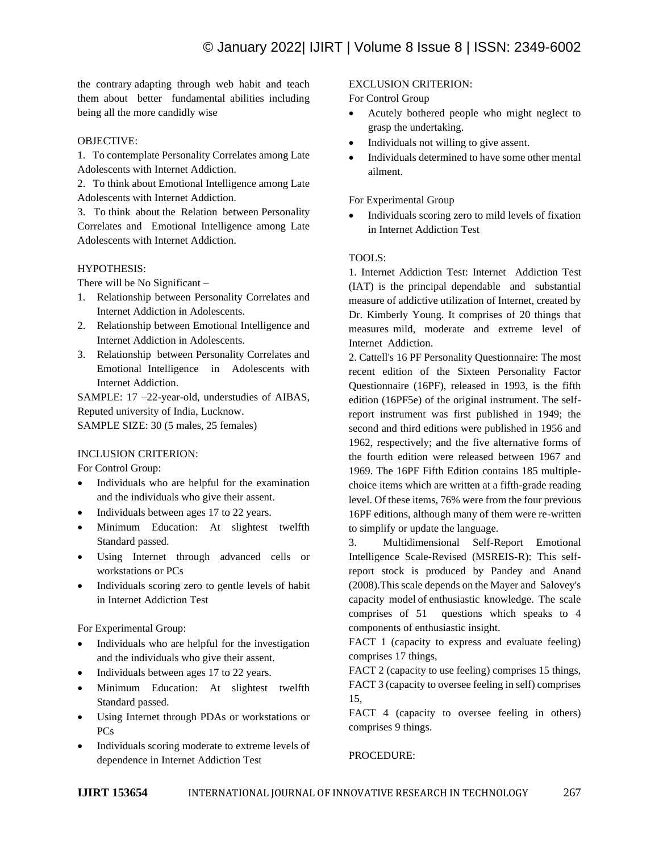the contrary adapting through web habit and teach them about better fundamental abilities including being all the more candidly wise

## OBJECTIVE:

1. To contemplate Personality Correlates among Late Adolescents with Internet Addiction.

2. To think about Emotional Intelligence among Late Adolescents with Internet Addiction.

3. To think about the Relation between Personality Correlates and Emotional Intelligence among Late Adolescents with Internet Addiction.

## HYPOTHESIS:

There will be No Significant –

- 1. Relationship between Personality Correlates and Internet Addiction in Adolescents.
- 2. Relationship between Emotional Intelligence and Internet Addiction in Adolescents.
- 3. Relationship between Personality Correlates and Emotional Intelligence in Adolescents with Internet Addiction.

SAMPLE: 17 –22-year-old, understudies of AIBAS, Reputed university of India, Lucknow.

SAMPLE SIZE: 30 (5 males, 25 females)

#### INCLUSION CRITERION:

For Control Group:

- Individuals who are helpful for the examination and the individuals who give their assent.
- Individuals between ages 17 to 22 years.
- Minimum Education: At slightest twelfth Standard passed.
- Using Internet through advanced cells or workstations or PCs
- Individuals scoring zero to gentle levels of habit in Internet Addiction Test

For Experimental Group:

- Individuals who are helpful for the investigation and the individuals who give their assent.
- Individuals between ages 17 to 22 years.
- Minimum Education: At slightest twelfth Standard passed.
- Using Internet through PDAs or workstations or PCs
- Individuals scoring moderate to extreme levels of dependence in Internet Addiction Test

## EXCLUSION CRITERION:

For Control Group

- Acutely bothered people who might neglect to grasp the undertaking.
- Individuals not willing to give assent.
- Individuals determined to have some other mental ailment.

## For Experimental Group

• Individuals scoring zero to mild levels of fixation in Internet Addiction Test

## TOOLS:

1. Internet Addiction Test: Internet Addiction Test (IAT) is the principal dependable and substantial measure of addictive utilization of Internet, created by Dr. Kimberly Young. It comprises of 20 things that measures mild, moderate and extreme level of Internet Addiction.

2. Cattell's 16 PF Personality Questionnaire: The most recent edition of the Sixteen Personality Factor Questionnaire (16PF), released in 1993, is the fifth edition (16PF5e) of the original instrument. The selfreport instrument was first published in 1949; the second and third editions were published in 1956 and 1962, respectively; and the five alternative forms of the fourth edition were released between 1967 and 1969. The 16PF Fifth Edition contains 185 multiplechoice items which are written at a fifth-grade reading level. Of these items, 76% were from the four previous 16PF editions, although many of them were re-written to simplify or update the language.

3. Multidimensional Self-Report Emotional Intelligence Scale-Revised (MSREIS-R): This selfreport stock is produced by Pandey and Anand (2008).This scale depends on the Mayer and Salovey's capacity model of enthusiastic knowledge. The scale comprises of 51 questions which speaks to 4 components of enthusiastic insight.

FACT 1 (capacity to express and evaluate feeling) comprises 17 things,

FACT 2 (capacity to use feeling) comprises 15 things, FACT 3 (capacity to oversee feeling in self) comprises 15,

FACT 4 (capacity to oversee feeling in others) comprises 9 things.

PROCEDURE: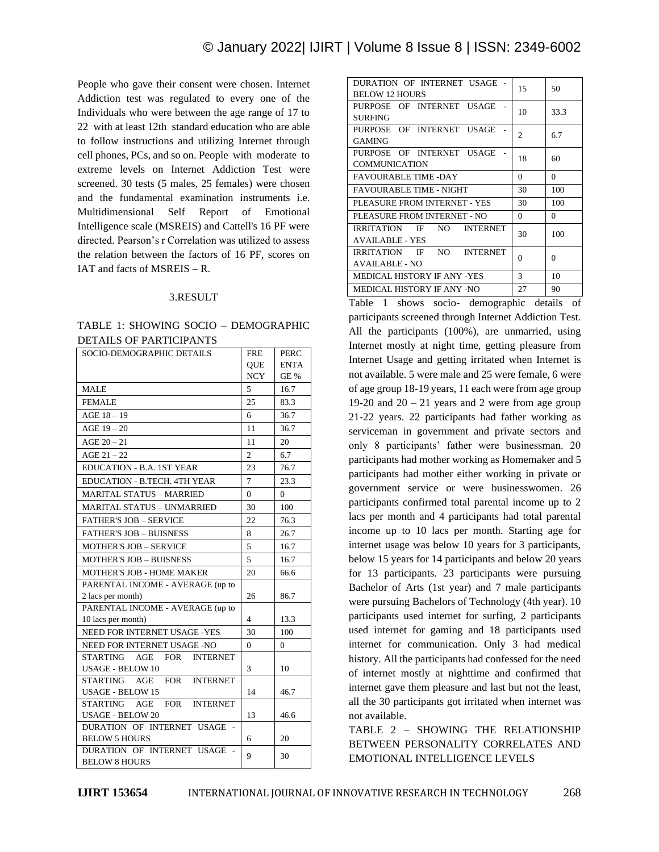People who gave their consent were chosen. Internet Addiction test was regulated to every one of the Individuals who were between the age range of 17 to 22 with at least 12th standard education who are able to follow instructions and utilizing Internet through cell phones, PCs, and so on. People with moderate to extreme levels on Internet Addiction Test were screened. 30 tests (5 males, 25 females) were chosen and the fundamental examination instruments i.e. Multidimensional Self Report of Emotional Intelligence scale (MSREIS) and Cattell's 16 PF were directed. Pearson's r Correlation was utilized to assess the relation between the factors of 16 PF, scores on IAT and facts of MSREIS – R.

#### 3.RESULT

## TABLE 1: SHOWING SOCIO – DEMOGRAPHIC DETAILS OF PARTICIPANTS

| SOCIO-DEMOGRAPHIC DETAILS                               | <b>FRE</b>     | <b>PERC</b>     |
|---------------------------------------------------------|----------------|-----------------|
|                                                         | QUE            | <b>ENTA</b>     |
|                                                         | <b>NCY</b>     | $\textrm{GE}$ % |
| <b>MALE</b>                                             | 5              | 16.7            |
| <b>FEMALE</b>                                           | 25             | 83.3            |
| $AGE$ 18 $-$ 19                                         | 6              | 36.7            |
| $AGE$ 19 - 20                                           | 11             | 36.7            |
| $AGE 20 - 21$                                           | 11             | 20              |
| AGE $21 - 22$                                           | $\overline{c}$ | 6.7             |
| <b>EDUCATION - B.A. 1ST YEAR</b>                        | 23             | 76.7            |
| <b>EDUCATION - B.TECH. 4TH YEAR</b>                     | 7              | 23.3            |
| <b>MARITAL STATUS - MARRIED</b>                         | $\theta$       | 0               |
| <b>MARITAL STATUS - UNMARRIED</b>                       | 30             | 100             |
| <b>FATHER'S JOB - SERVICE</b>                           | 22             | 76.3            |
| <b>FATHER'S JOB - BUISNESS</b>                          | 8              | 26.7            |
| <b>MOTHER'S JOB - SERVICE</b>                           | 5              | 16.7            |
| <b>MOTHER'S JOB - BUISNESS</b>                          | 5              | 16.7            |
| <b>MOTHER'S JOB - HOME MAKER</b>                        | 20             | 66.6            |
| PARENTAL INCOME - AVERAGE (up to                        |                |                 |
| 2 lacs per month)                                       | 26             | 86.7            |
| PARENTAL INCOME - AVERAGE (up to                        |                |                 |
| 10 lacs per month)                                      | 4              | 13.3            |
| NEED FOR INTERNET USAGE -YES                            | 30             | 100             |
| NEED FOR INTERNET USAGE -NO                             | $\Omega$       | 0               |
| <b>STARTING</b><br><b>INTERNET</b><br>AGE<br><b>FOR</b> |                |                 |
| <b>USAGE - BELOW 10</b>                                 | 3              | 10              |
| STARTING AGE<br><b>FOR</b><br><b>INTERNET</b>           |                |                 |
| <b>USAGE - BELOW 15</b>                                 | 14             | 46.7            |
| <b>FOR</b><br>STARTING AGE<br><b>INTERNET</b>           |                |                 |
| <b>USAGE - BELOW 20</b>                                 | 13             | 46.6            |
| DURATION OF INTERNET USAGE -                            |                |                 |
| <b>BELOW 5 HOURS</b><br>DURATION OF INTERNET USAGE      | 6              | 20              |
| ÷,<br><b>BELOW 8 HOURS</b>                              | 9              | 30              |
|                                                         |                |                 |

| DURATION OF INTERNET USAGE -<br><b>BELOW 12 HOURS</b>             | 15       | 50       |
|-------------------------------------------------------------------|----------|----------|
| PURPOSE OF INTERNET USAGE<br><b>SURFING</b>                       | 10       | 33.3     |
| PURPOSE OF INTERNET USAGE<br><b>GAMING</b>                        | 2        | 6.7      |
| PURPOSE OF INTERNET USAGE<br><b>COMMUNICATION</b>                 | 18       | 60       |
| <b>FAVOURABLE TIME -DAY</b>                                       | $\Omega$ | $\Omega$ |
| <b>FAVOURABLE TIME - NIGHT</b>                                    | 30       | 100      |
| PLEASURE FROM INTERNET - YES                                      | 30       | 100      |
| PLEASURE FROM INTERNET - NO                                       | $\Omega$ | 0        |
| IRRITATION IF NO<br><b>INTERNET</b><br><b>AVAILABLE - YES</b>     | 30       | 100      |
| NO -<br>IRRITATION IF<br><b>INTERNET</b><br><b>AVAILABLE - NO</b> | $\Omega$ | 0        |
| <b>MEDICAL HISTORY IF ANY -YES</b>                                | 3        | 10       |
| MEDICAL HISTORY IF ANY -NO                                        | 27       | 90       |

Table 1 shows socio- demographic details of participants screened through Internet Addiction Test. All the participants (100%), are unmarried, using Internet mostly at night time, getting pleasure from Internet Usage and getting irritated when Internet is not available. 5 were male and 25 were female, 6 were of age group 18-19 years, 11 each were from age group 19-20 and  $20 - 21$  years and 2 were from age group 21-22 years. 22 participants had father working as serviceman in government and private sectors and only 8 participants' father were businessman. 20 participants had mother working as Homemaker and 5 participants had mother either working in private or government service or were businesswomen. 26 participants confirmed total parental income up to 2 lacs per month and 4 participants had total parental income up to 10 lacs per month. Starting age for internet usage was below 10 years for 3 participants, below 15 years for 14 participants and below 20 years for 13 participants. 23 participants were pursuing Bachelor of Arts (1st year) and 7 male participants were pursuing Bachelors of Technology (4th year). 10 participants used internet for surfing, 2 participants used internet for gaming and 18 participants used internet for communication. Only 3 had medical history. All the participants had confessed for the need of internet mostly at nighttime and confirmed that internet gave them pleasure and last but not the least, all the 30 participants got irritated when internet was not available.

TABLE 2 – SHOWING THE RELATIONSHIP BETWEEN PERSONALITY CORRELATES AND EMOTIONAL INTELLIGENCE LEVELS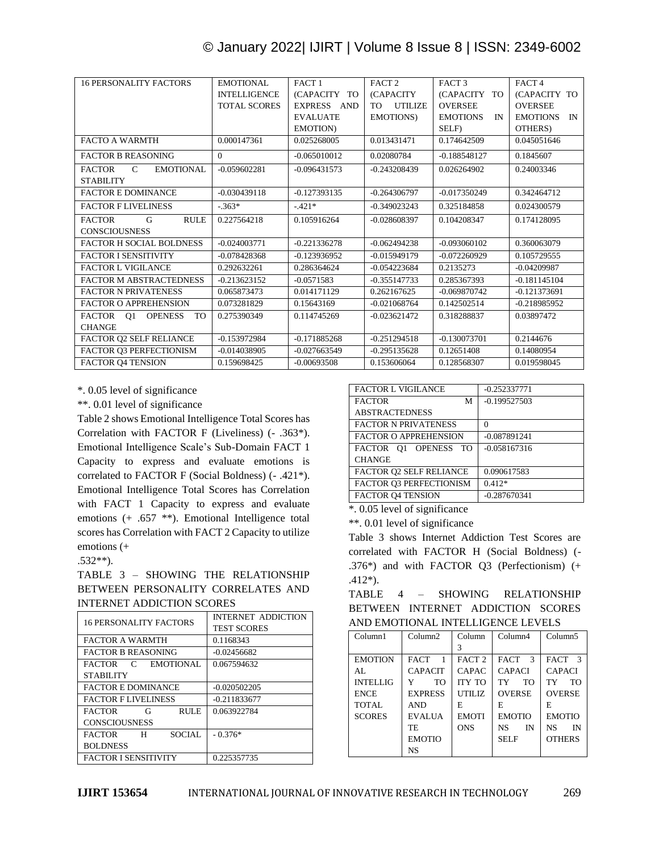| <b>16 PERSONALITY FACTORS</b>                      | EMOTIONAL           | FACT <sub>1</sub>                | FACT <sub>2</sub>     | FACT <sub>3</sub>     | FACT <sub>4</sub>     |
|----------------------------------------------------|---------------------|----------------------------------|-----------------------|-----------------------|-----------------------|
|                                                    | <b>INTELLIGENCE</b> | (CAPACITY TO                     | (CAPACITY             | (CAPACITY TO          | (CAPACITY TO          |
|                                                    | <b>TOTAL SCORES</b> | EXPRESS AND                      | <b>UTILIZE</b><br>TO. | <b>OVERSEE</b>        | <b>OVERSEE</b>        |
|                                                    |                     | <b>EVALUATE</b>                  | <b>EMOTIONS</b> )     | <b>EMOTIONS</b><br>IN | <b>EMOTIONS</b><br>IN |
|                                                    |                     | EMOTION)                         |                       | SELF)                 | OTHERS)               |
| <b>FACTO A WARMTH</b>                              | 0.000147361         | 0.025268005                      | 0.013431471           | 0.174642509           | 0.045051646           |
| <b>FACTOR B REASONING</b>                          | $\Omega$            | $-0.065010012$                   | 0.02080784            | $-0.188548127$        | 0.1845607             |
| $\mathcal{C}$<br><b>EMOTIONAL</b><br><b>FACTOR</b> | $-0.059602281$      | $-0.096431573$                   | $-0.243208439$        | 0.026264902           | 0.24003346            |
| <b>STABILITY</b>                                   |                     |                                  |                       |                       |                       |
| <b>FACTOR E DOMINANCE</b>                          | $-0.030439118$      | $-0.127393135$                   | $-0.264306797$        | $-0.017350249$        | 0.342464712           |
| <b>FACTOR F LIVELINESS</b>                         | $-.363*$            | $-421*$                          | $-0.349023243$        | 0.325184858           | 0.024300579           |
| <b>FACTOR</b><br><b>RULE</b><br>G                  | 0.227564218         | 0.105916264                      | $-0.028608397$        | 0.104208347           | 0.174128095           |
| <b>CONSCIOUSNESS</b>                               |                     |                                  |                       |                       |                       |
| <b>FACTOR H SOCIAL BOLDNESS</b>                    | $-0.024003771$      | $-0.221336278$                   | $-0.062494238$        | $-0.093060102$        | 0.360063079           |
| <b>FACTOR I SENSITIVITY</b>                        | $-0.078428368$      | $-0.123936952$<br>$-0.015949179$ |                       | $-0.072260929$        | 0.105729555           |
| <b>FACTOR L VIGILANCE</b>                          | 0.292632261         | 0.286364624                      | $-0.054223684$        | 0.2135273             | $-0.04209987$         |
| <b>FACTOR M ABSTRACTEDNESS</b>                     | $-0.213623152$      | $-0.0571583$                     | $-0.355147733$        | 0.285367393           | $-0.181145104$        |
| <b>FACTOR N PRIVATENESS</b>                        | 0.065873473         | 0.014171129                      | 0.262167625           | $-0.069870742$        | $-0.121373691$        |
| <b>FACTOR O APPREHENSION</b>                       | 0.073281829         | 0.15643169                       | $-0.021068764$        | 0.142502514           | $-0.218985952$        |
| <b>OPENESS</b><br><b>FACTOR</b><br>Q1<br><b>TO</b> | 0.275390349         | 0.114745269                      | $-0.023621472$        | 0.318288837           | 0.03897472            |
| <b>CHANGE</b>                                      |                     |                                  |                       |                       |                       |
| FACTOR Q2 SELF RELIANCE                            | $-0.153972984$      | $-0.171885268$                   | $-0.251294518$        | $-0.130073701$        | 0.2144676             |
| FACTOR O3 PERFECTIONISM                            | $-0.014038905$      | $-0.027663549$                   | $-0.295135628$        | 0.12651408            | 0.14080954            |
| FACTOR 04 TENSION                                  | 0.159698425         | $-0.00693508$                    | 0.153606064           | 0.128568307           | 0.019598045           |

\*. 0.05 level of significance

\*\*. 0.01 level of significance

Table 2 shows Emotional Intelligence Total Scores has Correlation with FACTOR F (Liveliness) (- .363\*). Emotional Intelligence Scale's Sub-Domain FACT 1 Capacity to express and evaluate emotions is correlated to FACTOR F (Social Boldness) (- .421\*). Emotional Intelligence Total Scores has Correlation with FACT 1 Capacity to express and evaluate emotions (+ .657 \*\*). Emotional Intelligence total scores has Correlation with FACT 2 Capacity to utilize emotions (+

## .532\*\*).

TABLE 3 – SHOWING THE RELATIONSHIP BETWEEN PERSONALITY CORRELATES AND INTERNET ADDICTION SCORES

| <b>16 PERSONALITY FACTORS</b>     | INTERNET ADDICTION<br><b>TEST SCORES</b> |
|-----------------------------------|------------------------------------------|
| <b>FACTOR A WARMTH</b>            | 0.1168343                                |
| <b>FACTOR B REASONING</b>         | $-0.02456682$                            |
| <b>FACTOR</b><br>EMOTIONAL<br>C   | 0.067594632                              |
| <b>STABILITY</b>                  |                                          |
| <b>FACTOR E DOMINANCE</b>         | $-0.020502205$                           |
| <b>FACTOR FLIVELINESS</b>         | $-0.211833677$                           |
| <b>FACTOR</b><br><b>RULE</b><br>G | 0.063922784                              |
| <b>CONSCIOUSNESS</b>              |                                          |
| SOCIAL.<br><b>FACTOR</b><br>н     | $-0.376*$                                |
| <b>BOLDNESS</b>                   |                                          |
| <b>FACTOR I SENSITIVITY</b>       | 0.225357735                              |

| <b>FACTOR L VIGILANCE</b>    | $-0.252337771$ |
|------------------------------|----------------|
| <b>FACTOR</b><br>М           | $-0.199527503$ |
| <b>ABSTRACTEDNESS</b>        |                |
| <b>FACTOR N PRIVATENESS</b>  | 0              |
| <b>FACTOR O APPREHENSION</b> | $-0.087891241$ |
| FACTOR 01 OPENESS TO         | $-0.058167316$ |
| <b>CHANGE</b>                |                |
| FACTOR O2 SELF RELIANCE      | 0.090617583    |
| FACTOR O3 PERFECTIONISM      | $0.412*$       |
| <b>FACTOR O4 TENSION</b>     | $-0.287670341$ |

\*. 0.05 level of significance

\*\*. 0.01 level of significance

Table 3 shows Internet Addiction Test Scores are correlated with FACTOR H (Social Boldness) (- .376\*) and with FACTOR Q3 (Perfectionism) (+ .412\*).

| TABLE                             |  | 4 – SHOWING |  | RELATIONSHIP                      |
|-----------------------------------|--|-------------|--|-----------------------------------|
|                                   |  |             |  | BETWEEN INTERNET ADDICTION SCORES |
| AND EMOTIONAL INTELLIGENCE LEVELS |  |             |  |                                   |

| Column1         | Column2        | Column            | Column4                     | Column <sub>5</sub> |
|-----------------|----------------|-------------------|-----------------------------|---------------------|
|                 |                |                   |                             |                     |
| <b>EMOTION</b>  | <b>FACT</b>    | FACT <sub>2</sub> | $\mathbf{3}$<br><b>FACT</b> | FACT 3              |
| AI.             | <b>CAPACIT</b> | CAPAC             | <b>CAPACI</b>               | <b>CAPACI</b>       |
| <b>INTELLIG</b> | <b>TO</b><br>Y | <b>ITY TO</b>     | <b>TO</b><br>TY             | TO<br>TY            |
| <b>ENCE</b>     | <b>EXPRESS</b> | UTILIZ            | <b>OVERSE</b>               | <b>OVERSE</b>       |
| <b>TOTAL</b>    | <b>AND</b>     | F.                | E                           | F.                  |
| <b>SCORES</b>   | <b>EVALUA</b>  | <b>EMOTI</b>      | <b>EMOTIO</b>               | <b>EMOTIO</b>       |
|                 | TE             | ONS               | <b>NS</b><br>IN             | <b>NS</b><br>IN     |
|                 | <b>EMOTIO</b>  |                   | <b>SELF</b>                 | <b>OTHERS</b>       |
|                 | NS             |                   |                             |                     |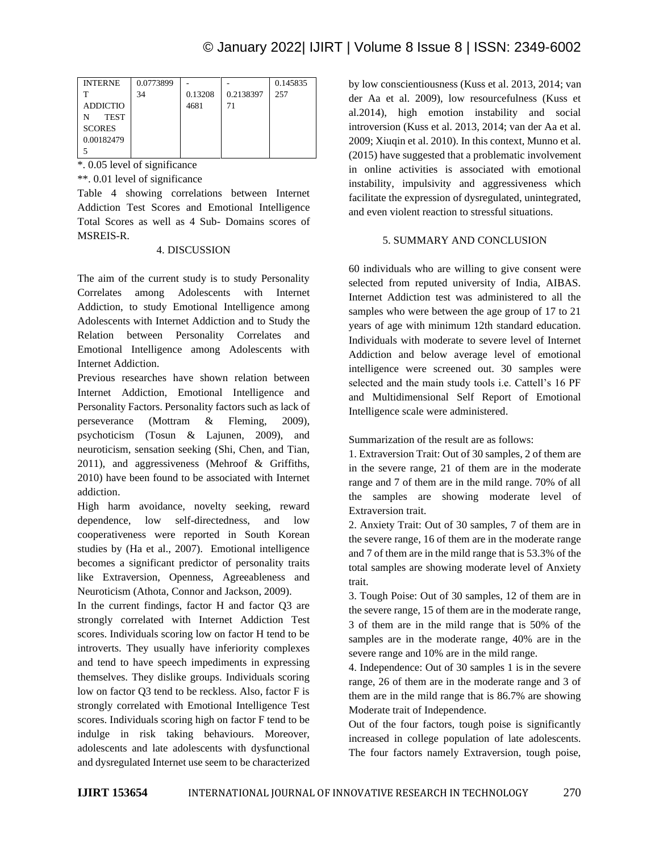| <b>INTERNE</b>  | 0.0773899 |         |           | 0.145835 |
|-----------------|-----------|---------|-----------|----------|
| т               | 34        | 0.13208 | 0.2138397 | 257      |
| <b>ADDICTIO</b> |           | 4681    | 71        |          |
| <b>TEST</b>     |           |         |           |          |
| <b>SCORES</b>   |           |         |           |          |
| 0.00182479      |           |         |           |          |
|                 |           |         |           |          |

\*. 0.05 level of significance

\*\*. 0.01 level of significance

Table 4 showing correlations between Internet Addiction Test Scores and Emotional Intelligence Total Scores as well as 4 Sub- Domains scores of MSREIS-R.

#### 4. DISCUSSION

The aim of the current study is to study Personality Correlates among Adolescents with Internet Addiction, to study Emotional Intelligence among Adolescents with Internet Addiction and to Study the Relation between Personality Correlates and Emotional Intelligence among Adolescents with Internet Addiction.

Previous researches have shown relation between Internet Addiction, Emotional Intelligence and Personality Factors. Personality factors such as lack of perseverance (Mottram & Fleming, 2009), psychoticism (Tosun & Lajunen, 2009), and neuroticism, sensation seeking (Shi, Chen, and Tian, 2011), and aggressiveness (Mehroof & Griffiths, 2010) have been found to be associated with Internet addiction.

High harm avoidance, novelty seeking, reward dependence, low self-directedness, and low cooperativeness were reported in South Korean studies by (Ha et al., 2007). Emotional intelligence becomes a significant predictor of personality traits like Extraversion, Openness, Agreeableness and Neuroticism (Athota, Connor and Jackson, 2009).

In the current findings, factor H and factor Q3 are strongly correlated with Internet Addiction Test scores. Individuals scoring low on factor H tend to be introverts. They usually have inferiority complexes and tend to have speech impediments in expressing themselves. They dislike groups. Individuals scoring low on factor Q3 tend to be reckless. Also, factor F is strongly correlated with Emotional Intelligence Test scores. Individuals scoring high on factor F tend to be indulge in risk taking behaviours. Moreover, adolescents and late adolescents with dysfunctional and dysregulated Internet use seem to be characterized by low conscientiousness (Kuss et al. 2013, 2014; van der Aa et al. 2009), low resourcefulness (Kuss et al.2014), high emotion instability and social introversion (Kuss et al. 2013, 2014; van der Aa et al. 2009; Xiuqin et al. 2010). In this context, Munno et al. (2015) have suggested that a problematic involvement in online activities is associated with emotional instability, impulsivity and aggressiveness which facilitate the expression of dysregulated, unintegrated, and even violent reaction to stressful situations.

## 5. SUMMARY AND CONCLUSION

60 individuals who are willing to give consent were selected from reputed university of India, AIBAS. Internet Addiction test was administered to all the samples who were between the age group of 17 to 21 years of age with minimum 12th standard education. Individuals with moderate to severe level of Internet Addiction and below average level of emotional intelligence were screened out. 30 samples were selected and the main study tools i.e. Cattell's 16 PF and Multidimensional Self Report of Emotional Intelligence scale were administered.

Summarization of the result are as follows:

1. Extraversion Trait: Out of 30 samples, 2 of them are in the severe range, 21 of them are in the moderate range and 7 of them are in the mild range. 70% of all the samples are showing moderate level of Extraversion trait.

2. Anxiety Trait: Out of 30 samples, 7 of them are in the severe range, 16 of them are in the moderate range and 7 of them are in the mild range that is 53.3% of the total samples are showing moderate level of Anxiety trait.

3. Tough Poise: Out of 30 samples, 12 of them are in the severe range, 15 of them are in the moderate range, 3 of them are in the mild range that is 50% of the samples are in the moderate range, 40% are in the severe range and 10% are in the mild range.

4. Independence: Out of 30 samples 1 is in the severe range, 26 of them are in the moderate range and 3 of them are in the mild range that is 86.7% are showing Moderate trait of Independence.

Out of the four factors, tough poise is significantly increased in college population of late adolescents. The four factors namely Extraversion, tough poise,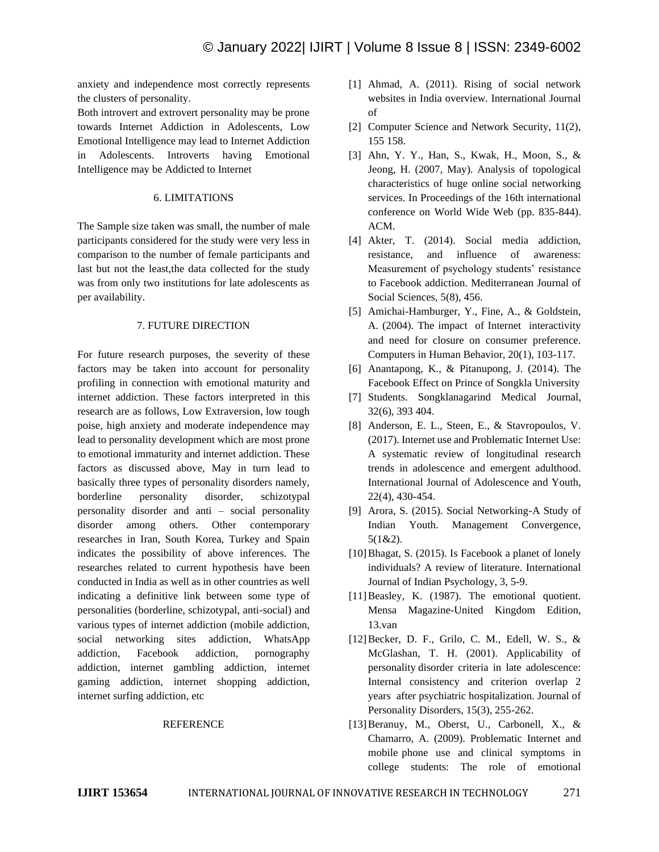anxiety and independence most correctly represents the clusters of personality.

Both introvert and extrovert personality may be prone towards Internet Addiction in Adolescents, Low Emotional Intelligence may lead to Internet Addiction in Adolescents. Introverts having Emotional Intelligence may be Addicted to Internet

#### 6. LIMITATIONS

The Sample size taken was small, the number of male participants considered for the study were very less in comparison to the number of female participants and last but not the least,the data collected for the study was from only two institutions for late adolescents as per availability.

#### 7. FUTURE DIRECTION

For future research purposes, the severity of these factors may be taken into account for personality profiling in connection with emotional maturity and internet addiction. These factors interpreted in this research are as follows, Low Extraversion, low tough poise, high anxiety and moderate independence may lead to personality development which are most prone to emotional immaturity and internet addiction. These factors as discussed above, May in turn lead to basically three types of personality disorders namely, borderline personality disorder, schizotypal personality disorder and anti – social personality disorder among others. Other contemporary researches in Iran, South Korea, Turkey and Spain indicates the possibility of above inferences. The researches related to current hypothesis have been conducted in India as well as in other countries as well indicating a definitive link between some type of personalities (borderline, schizotypal, anti-social) and various types of internet addiction (mobile addiction, social networking sites addiction, WhatsApp addiction, Facebook addiction, pornography addiction, internet gambling addiction, internet gaming addiction, internet shopping addiction, internet surfing addiction, etc

#### REFERENCE

- [1] Ahmad, A. (2011). Rising of social network websites in India overview. International Journal of
- [2] Computer Science and Network Security, 11(2), 155 158.
- [3] Ahn, Y. Y., Han, S., Kwak, H., Moon, S., & Jeong, H. (2007, May). Analysis of topological characteristics of huge online social networking services. In Proceedings of the 16th international conference on World Wide Web (pp. 835-844). ACM.
- [4] Akter, T. (2014). Social media addiction, resistance, and influence of awareness: Measurement of psychology students' resistance to Facebook addiction. Mediterranean Journal of Social Sciences, 5(8), 456.
- [5] Amichai-Hamburger, Y., Fine, A., & Goldstein, A. (2004). The impact of Internet interactivity and need for closure on consumer preference. Computers in Human Behavior, 20(1), 103-117.
- [6] Anantapong, K., & Pitanupong, J. (2014). The Facebook Effect on Prince of Songkla University
- [7] Students. Songklanagarind Medical Journal, 32(6), 393 404.
- [8] Anderson, E. L., Steen, E., & Stavropoulos, V. (2017). Internet use and Problematic Internet Use: A systematic review of longitudinal research trends in adolescence and emergent adulthood. International Journal of Adolescence and Youth, 22(4), 430-454.
- [9] Arora, S. (2015). Social Networking-A Study of Indian Youth. Management Convergence, 5(1&2).
- [10] Bhagat, S. (2015). Is Facebook a planet of lonely individuals? A review of literature. International Journal of Indian Psychology, 3, 5-9.
- [11] Beasley, K. (1987). The emotional quotient. Mensa Magazine-United Kingdom Edition, 13.van
- [12]Becker, D. F., Grilo, C. M., Edell, W. S., & McGlashan, T. H. (2001). Applicability of personality disorder criteria in late adolescence: Internal consistency and criterion overlap 2 years after psychiatric hospitalization. Journal of Personality Disorders, 15(3), 255-262.
- [13]Beranuy, M., Oberst, U., Carbonell, X., & Chamarro, A. (2009). Problematic Internet and mobile phone use and clinical symptoms in college students: The role of emotional